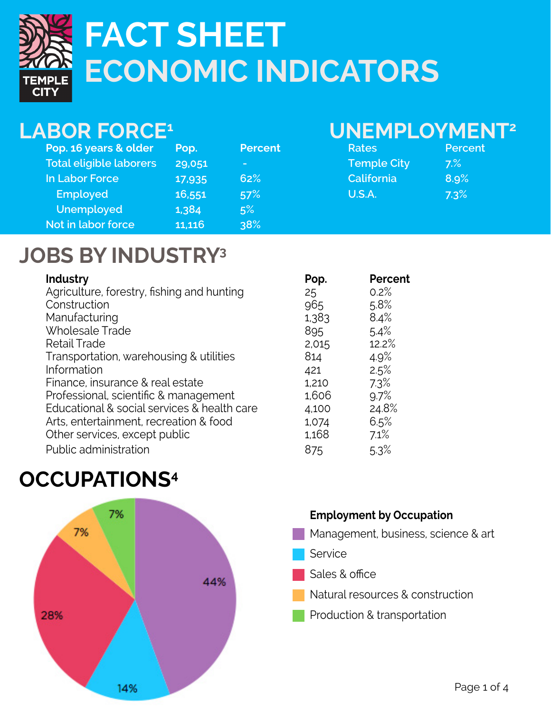

# **ECONOMIC INDICATORS FACT SHEET**

#### **LABOR FORCE1**

| Pop. 16 years & older          | Pop.   | <b>Percent</b> |
|--------------------------------|--------|----------------|
| <b>Total eligible laborers</b> | 29,051 | -              |
| <b>In Labor Force</b>          | 17,935 | 62%            |
| <b>Employed</b>                | 16,551 | 57%            |
| <b>Unemployed</b>              | 1,384  | 5%             |
| Not in labor force             | 11,116 | 38%            |

#### **UNEMPLOYMENT2**

| Rates              | Percent |
|--------------------|---------|
| <b>Temple City</b> | 7.%     |
| California         | 8.9%    |
| U.S.A.             | 7.3%    |

### **JOBS BY INDUSTRY3**

| Industry                                    | Pop.  | Percent |
|---------------------------------------------|-------|---------|
| Agriculture, forestry, fishing and hunting  | 25    | 0.2%    |
| Construction                                | 965   | 5.8%    |
| Manufacturing                               | 1,383 | 8.4%    |
| <b>Wholesale Trade</b>                      | 895   | 5.4%    |
| <b>Retail Trade</b>                         | 2,015 | 12.2%   |
| Transportation, warehousing & utilities     | 814   | 4.9%    |
| Information                                 | 421   | 2.5%    |
| Finance, insurance & real estate            | 1,210 | 7.3%    |
| Professional, scientific & management       | 1,606 | 9.7%    |
| Educational & social services & health care | 4,100 | 24.8%   |
| Arts, entertainment, recreation & food      | 1,074 | 6.5%    |
| Other services, except public               | 1,168 | 7.1%    |
| Public administration                       | 875   | 5.3%    |

# **Occupations4**



#### **Employment by Occupation**  Management, business, science & art

- **Service**
- Sales & office
- Natural resources & construction
- Production & transportation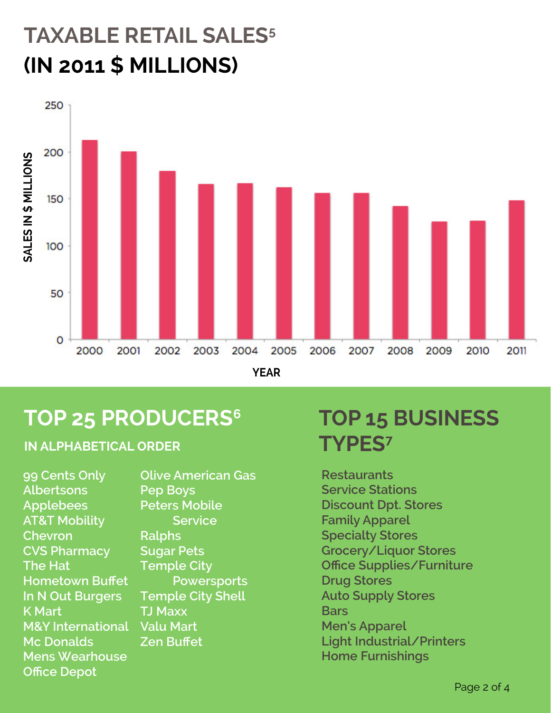# **(IN 2011 \$ MILLIONS) TAXABLE RETAIL SALES5**



**YEAR**

#### **TOP 25 PRODUCERS6**

**in Alphabetical order**

**99 Cents Only Albertsons Applebees AT&T Mobility Chevron CVS Pharmacy The Hat Hometown Buffet In N Out Burgers K Mart M&Y International Valu Mart Mc Donalds Mens Wearhouse Office Depot**

**Olive American Gas Pep Boys Peters Mobile Service Ralphs Sugar Pets Temple City Powersports Temple City Shell TJ Maxx Zen Buffet**

# **TOP 15 BUSINESS TYPES7**

**Restaurants Service Stations Discount Dpt. Stores Family Apparel Specialty Stores Grocery/Liquor Stores Office Supplies/Furniture Drug Stores Auto Supply Stores Bars Men's Apparel Light Industrial/Printers Home Furnishings**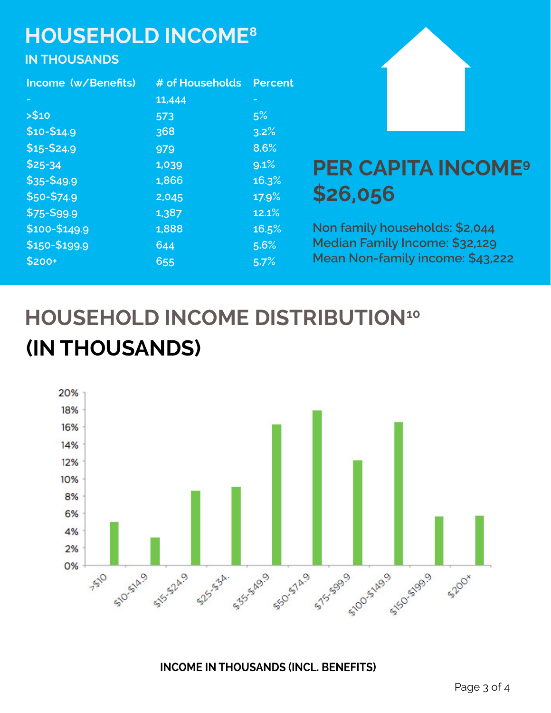# **HOUSEHOLD INCOME8**

#### **IN THOUSANDS**

| Income (w/Benefits) | # of Households | <b>Percent</b> |
|---------------------|-----------------|----------------|
| н                   | 11,444          |                |
| > \$10              | 573             | 5%             |
| $$10 - $14.9$       | 368             | 3.2%           |
| $$15 - $24.9$       | 979             | 8.6%           |
| $$25-34$            | 1,039           | 9.1%           |
| \$35-\$49.9         | 1,866           | 16.3%          |
| \$50-\$74.9         | 2,045           | 17.9%          |
| \$75-\$99.9         | 1,387           | 12.1%          |
| \$100-\$149.9       | 1,888           | 16.5%          |
| \$150-\$199.9       | 644             | 5.6%           |
| \$200+              | 655             | 5.7%           |



### **PER CAPITA INCOME9 \$26,056**

**Non family households: \$2,044 Median Family Income: \$32,129 Mean Non-family income: \$43,222**

# **HOUSEHOLD INCOME DISTRIBUTION10 (IN THOUSANDS)**



**INCOME IN THOUSANDS (INCL. BENEFITS)**